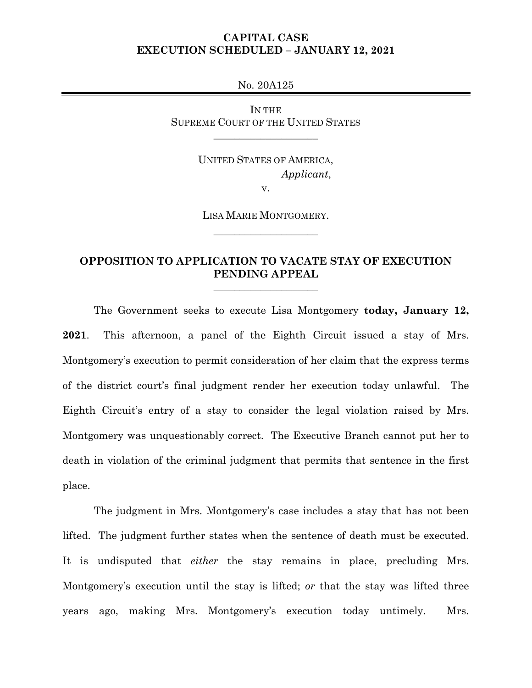## **CAPITAL CASE EXECUTION SCHEDULED – JANUARY 12, 2021**

No. 20A125

IN THE SUPREME COURT OF THE UNITED STATES

\_\_\_\_\_\_\_\_\_\_\_\_\_\_\_\_\_\_\_\_

UNITED STATES OF AMERICA,  *Applicant*,

v.

LISA MARIE MONTGOMERY. \_\_\_\_\_\_\_\_\_\_\_\_\_\_\_\_\_\_\_\_

# **OPPOSITION TO APPLICATION TO VACATE STAY OF EXECUTION PENDING APPEAL**

\_\_\_\_\_\_\_\_\_\_\_\_\_\_\_\_\_\_\_\_

The Government seeks to execute Lisa Montgomery **today, January 12, 2021**. This afternoon, a panel of the Eighth Circuit issued a stay of Mrs. Montgomery's execution to permit consideration of her claim that the express terms of the district court's final judgment render her execution today unlawful. The Eighth Circuit's entry of a stay to consider the legal violation raised by Mrs. Montgomery was unquestionably correct. The Executive Branch cannot put her to death in violation of the criminal judgment that permits that sentence in the first place.

The judgment in Mrs. Montgomery's case includes a stay that has not been lifted. The judgment further states when the sentence of death must be executed. It is undisputed that *either* the stay remains in place, precluding Mrs. Montgomery's execution until the stay is lifted; *or* that the stay was lifted three years ago, making Mrs. Montgomery's execution today untimely. Mrs.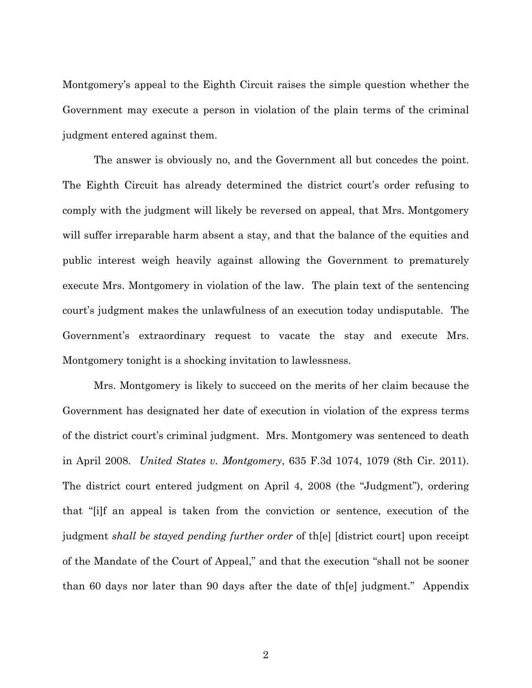Montgomery's appeal to the Eighth Circuit raises the simple question whether the Government may execute a person in violation of the plain terms of the criminal judgment entered against them.

The answer is obviously no, and the Government all but concedes the point. The Eighth Circuit has already determined the district court's order refusing to comply with the judgment will likely be reversed on appeal, that Mrs. Montgomery will suffer irreparable harm absent a stay, and that the balance of the equities and public interest weigh heavily against allowing the Government to prematurely execute Mrs. Montgomery in violation of the law. The plain text of the sentencing court's judgment makes the unlawfulness of an execution today undisputable. The Government's extraordinary request to vacate the stay and execute Mrs. Montgomery tonight is a shocking invitation to lawlessness.

Mrs. Montgomery is likely to succeed on the merits of her claim because the Government has designated her date of execution in violation of the express terms of the district court's criminal judgment. Mrs. Montgomery was sentenced to death in April 2008. *United States v. Montgomery*, 635 F.3d 1074, 1079 (8th Cir. 2011). The district court entered judgment on April 4, 2008 (the "Judgment"), ordering that "[i]f an appeal is taken from the conviction or sentence, execution of the judgment *shall be stayed pending further order* of th[e] [district court] upon receipt of the Mandate of the Court of Appeal," and that the execution "shall not be sooner than 60 days nor later than 90 days after the date of th[e] judgment." Appendix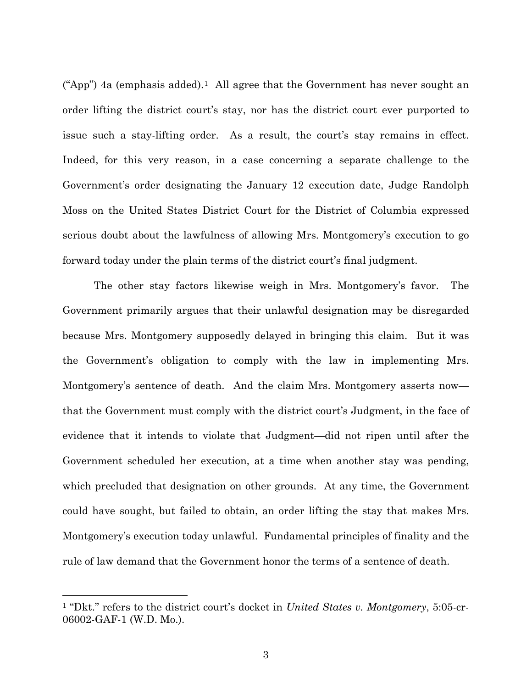("App") 4a (emphasis added).<sup>1</sup> All agree that the Government has never sought an order lifting the district court's stay, nor has the district court ever purported to issue such a stay-lifting order. As a result, the court's stay remains in effect. Indeed, for this very reason, in a case concerning a separate challenge to the Government's order designating the January 12 execution date, Judge Randolph Moss on the United States District Court for the District of Columbia expressed serious doubt about the lawfulness of allowing Mrs. Montgomery's execution to go forward today under the plain terms of the district court's final judgment.

The other stay factors likewise weigh in Mrs. Montgomery's favor. The Government primarily argues that their unlawful designation may be disregarded because Mrs. Montgomery supposedly delayed in bringing this claim. But it was the Government's obligation to comply with the law in implementing Mrs. Montgomery's sentence of death. And the claim Mrs. Montgomery asserts now that the Government must comply with the district court's Judgment, in the face of evidence that it intends to violate that Judgment—did not ripen until after the Government scheduled her execution, at a time when another stay was pending, which precluded that designation on other grounds. At any time, the Government could have sought, but failed to obtain, an order lifting the stay that makes Mrs. Montgomery's execution today unlawful. Fundamental principles of finality and the rule of law demand that the Government honor the terms of a sentence of death.

<span id="page-2-0"></span><sup>1</sup> "Dkt." refers to the district court's docket in *United States v. Montgomery*, 5:05-cr-06002-GAF-1 (W.D. Mo.).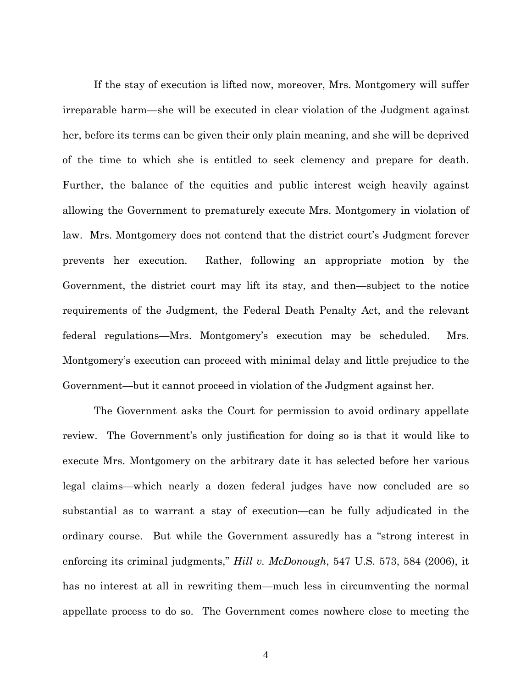If the stay of execution is lifted now, moreover, Mrs. Montgomery will suffer irreparable harm—she will be executed in clear violation of the Judgment against her, before its terms can be given their only plain meaning, and she will be deprived of the time to which she is entitled to seek clemency and prepare for death. Further, the balance of the equities and public interest weigh heavily against allowing the Government to prematurely execute Mrs. Montgomery in violation of law. Mrs. Montgomery does not contend that the district court's Judgment forever prevents her execution. Rather, following an appropriate motion by the Government, the district court may lift its stay, and then—subject to the notice requirements of the Judgment, the Federal Death Penalty Act, and the relevant federal regulations—Mrs. Montgomery's execution may be scheduled. Mrs. Montgomery's execution can proceed with minimal delay and little prejudice to the Government—but it cannot proceed in violation of the Judgment against her.

The Government asks the Court for permission to avoid ordinary appellate review. The Government's only justification for doing so is that it would like to execute Mrs. Montgomery on the arbitrary date it has selected before her various legal claims—which nearly a dozen federal judges have now concluded are so substantial as to warrant a stay of execution—can be fully adjudicated in the ordinary course. But while the Government assuredly has a "strong interest in enforcing its criminal judgments," *Hill v. McDonough*, 547 U.S. 573, 584 (2006), it has no interest at all in rewriting them—much less in circumventing the normal appellate process to do so. The Government comes nowhere close to meeting the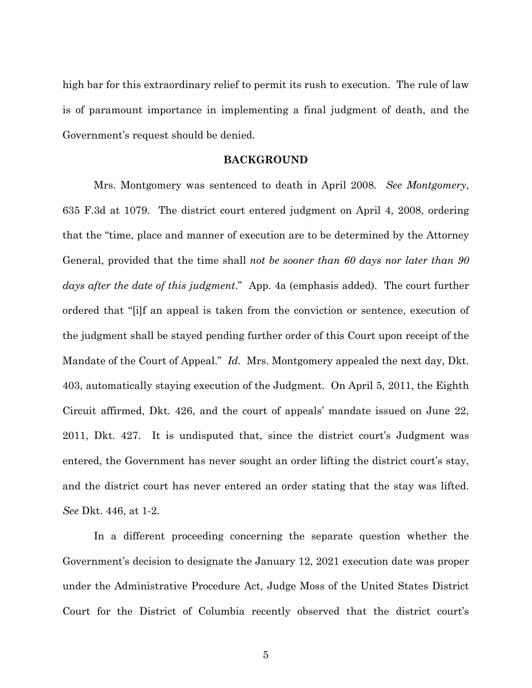high bar for this extraordinary relief to permit its rush to execution. The rule of law is of paramount importance in implementing a final judgment of death, and the Government's request should be denied.

#### **BACKGROUND**

Mrs. Montgomery was sentenced to death in April 2008*. See Montgomery*, 635 F.3d at 1079. The district court entered judgment on April 4, 2008, ordering that the "time, place and manner of execution are to be determined by the Attorney General, provided that the time shall *not be sooner than 60 days nor later than 90 days after the date of this judgment*."App. 4a (emphasis added). The court further ordered that "[i]f an appeal is taken from the conviction or sentence, execution of the judgment shall be stayed pending further order of this Court upon receipt of the Mandate of the Court of Appeal." *Id.* Mrs. Montgomery appealed the next day, Dkt. 403, automatically staying execution of the Judgment. On April 5, 2011, the Eighth Circuit affirmed, Dkt. 426, and the court of appeals' mandate issued on June 22, 2011, Dkt. 427. It is undisputed that, since the district court's Judgment was entered, the Government has never sought an order lifting the district court's stay, and the district court has never entered an order stating that the stay was lifted. *See* Dkt. 446, at 1-2.

In a different proceeding concerning the separate question whether the Government's decision to designate the January 12, 2021 execution date was proper under the Administrative Procedure Act, Judge Moss of the United States District Court for the District of Columbia recently observed that the district court's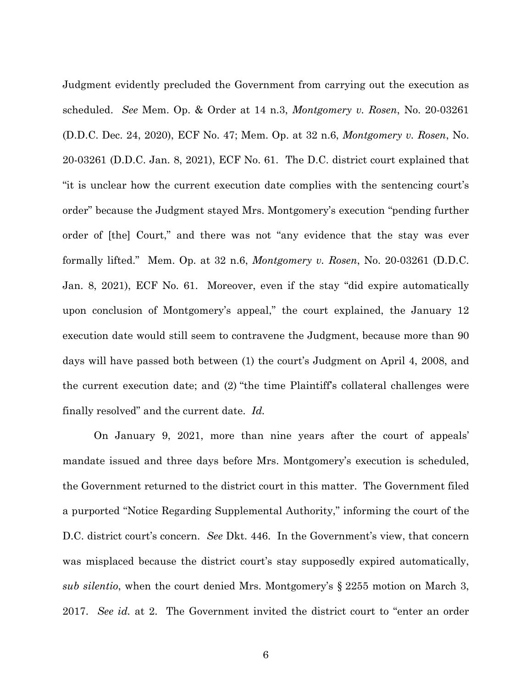Judgment evidently precluded the Government from carrying out the execution as scheduled. *See* Mem. Op. & Order at 14 n.3, *Montgomery v. Rosen*, No. 20-03261 (D.D.C. Dec. 24, 2020), ECF No. 47; Mem. Op. at 32 n.6, *Montgomery v. Rosen*, No. 20-03261 (D.D.C. Jan. 8, 2021), ECF No. 61. The D.C. district court explained that "it is unclear how the current execution date complies with the sentencing court's order" because the Judgment stayed Mrs. Montgomery's execution "pending further order of [the] Court," and there was not "any evidence that the stay was ever formally lifted." Mem. Op. at 32 n.6, *Montgomery v. Rosen*, No. 20-03261 (D.D.C. Jan. 8, 2021), ECF No. 61. Moreover, even if the stay "did expire automatically upon conclusion of Montgomery's appeal," the court explained, the January 12 execution date would still seem to contravene the Judgment, because more than 90 days will have passed both between (1) the court's Judgment on April 4, 2008, and the current execution date; and (2) "the time Plaintiff's collateral challenges were finally resolved" and the current date. *Id.* 

On January 9, 2021, more than nine years after the court of appeals' mandate issued and three days before Mrs. Montgomery's execution is scheduled, the Government returned to the district court in this matter. The Government filed a purported "Notice Regarding Supplemental Authority," informing the court of the D.C. district court's concern. *See* Dkt. 446. In the Government's view, that concern was misplaced because the district court's stay supposedly expired automatically, *sub silentio*, when the court denied Mrs. Montgomery's § 2255 motion on March 3, 2017. *See id.* at 2. The Government invited the district court to "enter an order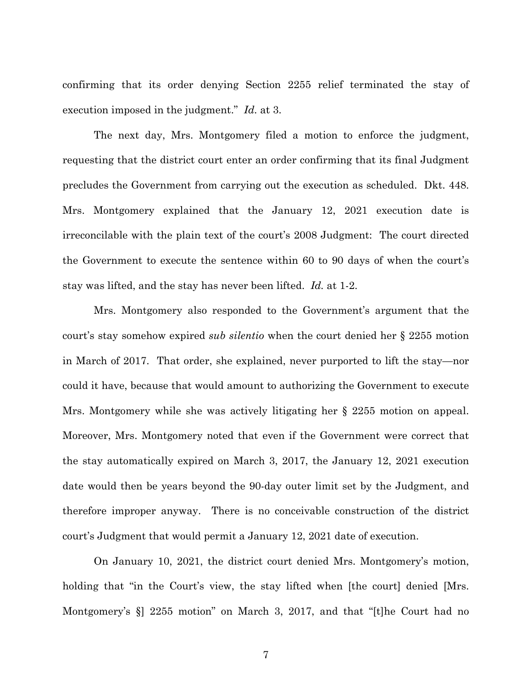confirming that its order denying Section 2255 relief terminated the stay of execution imposed in the judgment." *Id.* at 3.

The next day, Mrs. Montgomery filed a motion to enforce the judgment, requesting that the district court enter an order confirming that its final Judgment precludes the Government from carrying out the execution as scheduled. Dkt. 448. Mrs. Montgomery explained that the January 12, 2021 execution date is irreconcilable with the plain text of the court's 2008 Judgment: The court directed the Government to execute the sentence within 60 to 90 days of when the court's stay was lifted, and the stay has never been lifted. *Id.* at 1-2.

Mrs. Montgomery also responded to the Government's argument that the court's stay somehow expired *sub silentio* when the court denied her § 2255 motion in March of 2017. That order, she explained, never purported to lift the stay—nor could it have, because that would amount to authorizing the Government to execute Mrs. Montgomery while she was actively litigating her § 2255 motion on appeal. Moreover, Mrs. Montgomery noted that even if the Government were correct that the stay automatically expired on March 3, 2017, the January 12, 2021 execution date would then be years beyond the 90-day outer limit set by the Judgment, and therefore improper anyway. There is no conceivable construction of the district court's Judgment that would permit a January 12, 2021 date of execution.

On January 10, 2021, the district court denied Mrs. Montgomery's motion, holding that "in the Court's view, the stay lifted when [the court] denied [Mrs. Montgomery's §] 2255 motion" on March 3, 2017, and that "[t]he Court had no

7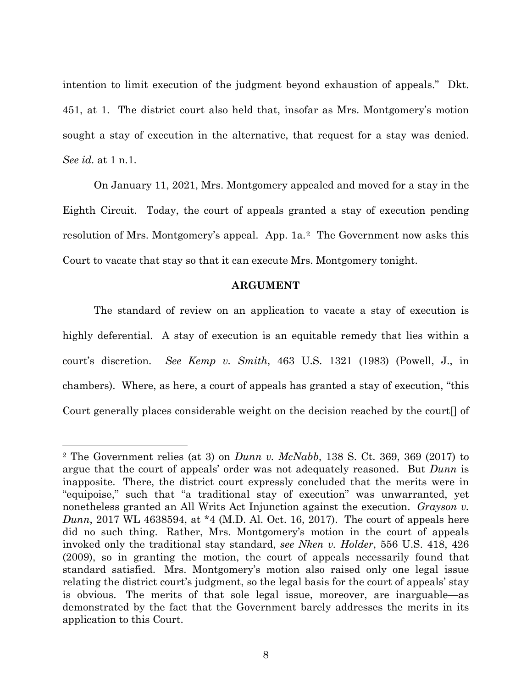intention to limit execution of the judgment beyond exhaustion of appeals." Dkt. 451, at 1. The district court also held that, insofar as Mrs. Montgomery's motion sought a stay of execution in the alternative, that request for a stay was denied. *See id.* at 1 n.1.

On January 11, 2021, Mrs. Montgomery appealed and moved for a stay in the Eighth Circuit. Today, the court of appeals granted a stay of execution pending resolution of Mrs. Montgomery's appeal. App. 1a.<sup>2</sup> The Government now asks this Court to vacate that stay so that it can execute Mrs. Montgomery tonight.

### **ARGUMENT**

The standard of review on an application to vacate a stay of execution is highly deferential. A stay of execution is an equitable remedy that lies within a court's discretion. *See Kemp v. Smith*, 463 U.S. 1321 (1983) (Powell, J., in chambers). Where, as here, a court of appeals has granted a stay of execution, "this Court generally places considerable weight on the decision reached by the court[] of

<span id="page-7-0"></span><sup>2</sup> The Government relies (at 3) on *Dunn v. McNabb*, 138 S. Ct. 369, 369 (2017) to argue that the court of appeals' order was not adequately reasoned. But *Dunn* is inapposite. There, the district court expressly concluded that the merits were in "equipoise," such that "a traditional stay of execution" was unwarranted, yet nonetheless granted an All Writs Act Injunction against the execution. *Grayson v. Dunn*, 2017 WL 4638594, at \*4 (M.D. Al. Oct. 16, 2017). The court of appeals here did no such thing. Rather, Mrs. Montgomery's motion in the court of appeals invoked only the traditional stay standard, *see Nken v. Holder*, 556 U.S. 418, 426 (2009), so in granting the motion, the court of appeals necessarily found that standard satisfied. Mrs. Montgomery's motion also raised only one legal issue relating the district court's judgment, so the legal basis for the court of appeals' stay is obvious. The merits of that sole legal issue, moreover, are inarguable—as demonstrated by the fact that the Government barely addresses the merits in its application to this Court.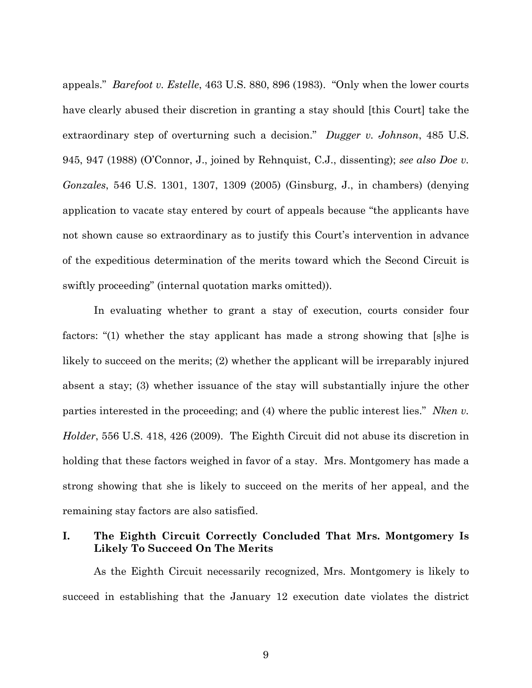appeals." *Barefoot v. Estelle*, 463 U.S. 880, 896 (1983). "Only when the lower courts have clearly abused their discretion in granting a stay should [this Court] take the extraordinary step of overturning such a decision." *Dugger v. Johnson*, 485 U.S. 945, 947 (1988) (O'Connor, J., joined by Rehnquist, C.J., dissenting); *see also Doe v. Gonzales*, 546 U.S. 1301, 1307, 1309 (2005) (Ginsburg, J., in chambers) (denying application to vacate stay entered by court of appeals because "the applicants have not shown cause so extraordinary as to justify this Court's intervention in advance of the expeditious determination of the merits toward which the Second Circuit is swiftly proceeding" (internal quotation marks omitted)).

In evaluating whether to grant a stay of execution, courts consider four factors: "(1) whether the stay applicant has made a strong showing that [s]he is likely to succeed on the merits; (2) whether the applicant will be irreparably injured absent a stay; (3) whether issuance of the stay will substantially injure the other parties interested in the proceeding; and (4) where the public interest lies." *Nken v. Holder*, 556 U.S. 418, 426 (2009). The Eighth Circuit did not abuse its discretion in holding that these factors weighed in favor of a stay. Mrs. Montgomery has made a strong showing that she is likely to succeed on the merits of her appeal, and the remaining stay factors are also satisfied.

## **I. The Eighth Circuit Correctly Concluded That Mrs. Montgomery Is Likely To Succeed On The Merits**

As the Eighth Circuit necessarily recognized, Mrs. Montgomery is likely to succeed in establishing that the January 12 execution date violates the district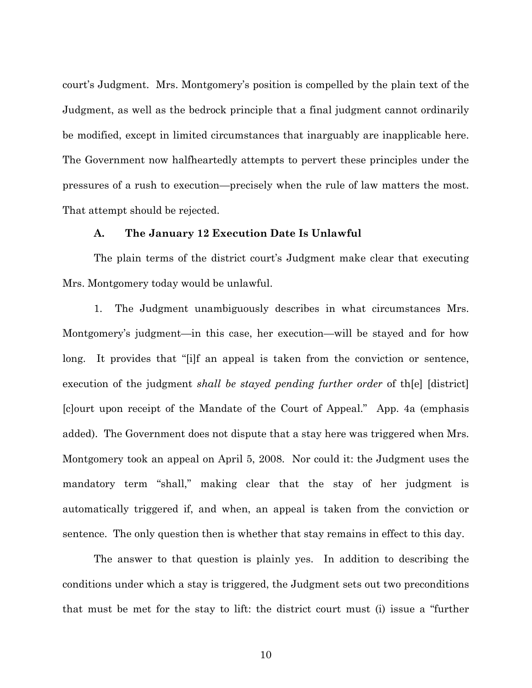court's Judgment. Mrs. Montgomery's position is compelled by the plain text of the Judgment, as well as the bedrock principle that a final judgment cannot ordinarily be modified, except in limited circumstances that inarguably are inapplicable here. The Government now halfheartedly attempts to pervert these principles under the pressures of a rush to execution—precisely when the rule of law matters the most. That attempt should be rejected.

### **A. The January 12 Execution Date Is Unlawful**

The plain terms of the district court's Judgment make clear that executing Mrs. Montgomery today would be unlawful.

1. The Judgment unambiguously describes in what circumstances Mrs. Montgomery's judgment—in this case, her execution—will be stayed and for how long. It provides that "[i]f an appeal is taken from the conviction or sentence, execution of the judgment *shall be stayed pending further order* of th[e] [district] [c]ourt upon receipt of the Mandate of the Court of Appeal." App. 4a (emphasis added). The Government does not dispute that a stay here was triggered when Mrs. Montgomery took an appeal on April 5, 2008. Nor could it: the Judgment uses the mandatory term "shall," making clear that the stay of her judgment is automatically triggered if, and when, an appeal is taken from the conviction or sentence. The only question then is whether that stay remains in effect to this day.

The answer to that question is plainly yes. In addition to describing the conditions under which a stay is triggered, the Judgment sets out two preconditions that must be met for the stay to lift: the district court must (i) issue a "further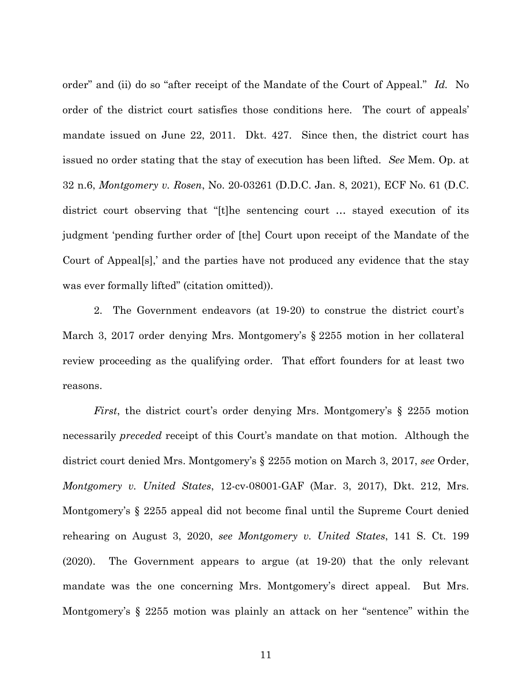order" and (ii) do so "after receipt of the Mandate of the Court of Appeal." *Id.* No order of the district court satisfies those conditions here. The court of appeals' mandate issued on June 22, 2011. Dkt. 427. Since then, the district court has issued no order stating that the stay of execution has been lifted. *See* Mem. Op. at 32 n.6, *Montgomery v. Rosen*, No. 20-03261 (D.D.C. Jan. 8, 2021), ECF No. 61 (D.C. district court observing that "[t]he sentencing court … stayed execution of its judgment 'pending further order of [the] Court upon receipt of the Mandate of the Court of Appeal[s],' and the parties have not produced any evidence that the stay was ever formally lifted" (citation omitted)).

2. The Government endeavors (at 19-20) to construe the district court's March 3, 2017 order denying Mrs. Montgomery's § 2255 motion in her collateral review proceeding as the qualifying order. That effort founders for at least two reasons.

*First*, the district court's order denying Mrs. Montgomery's § 2255 motion necessarily *preceded* receipt of this Court's mandate on that motion. Although the district court denied Mrs. Montgomery's § 2255 motion on March 3, 2017, *see* Order, *Montgomery v. United States*, 12-cv-08001-GAF (Mar. 3, 2017), Dkt. 212, Mrs. Montgomery's § 2255 appeal did not become final until the Supreme Court denied rehearing on August 3, 2020, *see Montgomery v. United States*, 141 S. Ct. 199 (2020). The Government appears to argue (at 19-20) that the only relevant mandate was the one concerning Mrs. Montgomery's direct appeal. But Mrs. Montgomery's § 2255 motion was plainly an attack on her "sentence" within the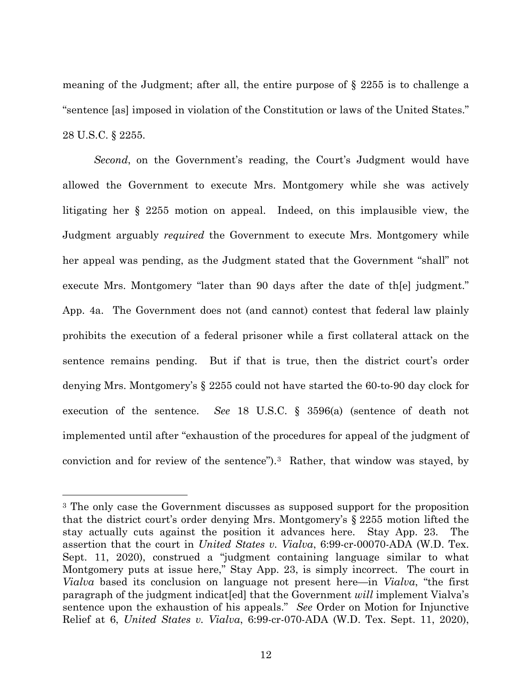meaning of the Judgment; after all, the entire purpose of § 2255 is to challenge a "sentence [as] imposed in violation of the Constitution or laws of the United States." 28 U.S.C. § 2255.

*Second*, on the Government's reading, the Court's Judgment would have allowed the Government to execute Mrs. Montgomery while she was actively litigating her § 2255 motion on appeal. Indeed, on this implausible view, the Judgment arguably *required* the Government to execute Mrs. Montgomery while her appeal was pending, as the Judgment stated that the Government "shall" not execute Mrs. Montgomery "later than 90 days after the date of th[e] judgment." App. 4a. The Government does not (and cannot) contest that federal law plainly prohibits the execution of a federal prisoner while a first collateral attack on the sentence remains pending. But if that is true, then the district court's order denying Mrs. Montgomery's § 2255 could not have started the 60-to-90 day clock for execution of the sentence. *See* 18 U.S.C. § 3596(a) (sentence of death not implemented until after "exhaustion of the procedures for appeal of the judgment of conviction and for review of the sentence").[3](#page-11-0) Rather, that window was stayed, by

<span id="page-11-0"></span><sup>3</sup> The only case the Government discusses as supposed support for the proposition that the district court's order denying Mrs. Montgomery's § 2255 motion lifted the stay actually cuts against the position it advances here. Stay App. 23. The assertion that the court in *United States v. Vialva*, 6:99-cr-00070-ADA (W.D. Tex. Sept. 11, 2020), construed a "judgment containing language similar to what Montgomery puts at issue here," Stay App. 23, is simply incorrect. The court in *Vialva* based its conclusion on language not present here—in *Vialva*, "the first paragraph of the judgment indicat[ed] that the Government *will* implement Vialva's sentence upon the exhaustion of his appeals." *See* Order on Motion for Injunctive Relief at 6, *United States v. Vialva*, 6:99-cr-070-ADA (W.D. Tex. Sept. 11, 2020),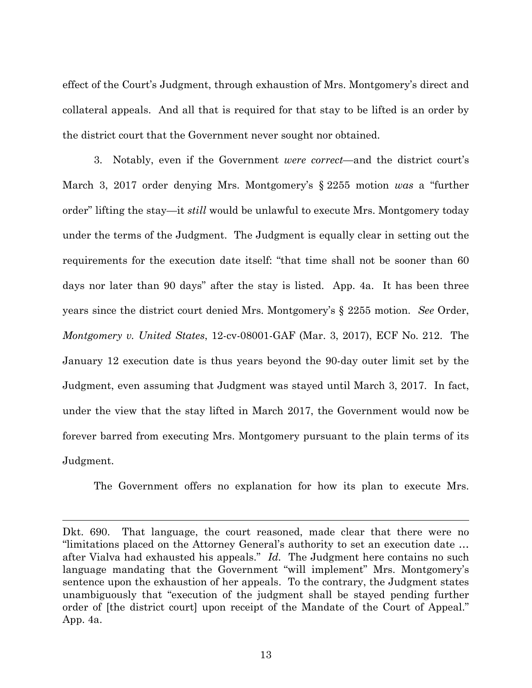effect of the Court's Judgment, through exhaustion of Mrs. Montgomery's direct and collateral appeals. And all that is required for that stay to be lifted is an order by the district court that the Government never sought nor obtained.

 3. Notably, even if the Government *were correct*—and the district court's March 3, 2017 order denying Mrs. Montgomery's § 2255 motion *was* a "further order" lifting the stay—it *still* would be unlawful to execute Mrs. Montgomery today under the terms of the Judgment. The Judgment is equally clear in setting out the requirements for the execution date itself: "that time shall not be sooner than 60 days nor later than 90 days" after the stay is listed. App. 4a. It has been three years since the district court denied Mrs. Montgomery's § 2255 motion. *See* Order, *Montgomery v. United States*, 12-cv-08001-GAF (Mar. 3, 2017), ECF No. 212. The January 12 execution date is thus years beyond the 90-day outer limit set by the Judgment, even assuming that Judgment was stayed until March 3, 2017. In fact, under the view that the stay lifted in March 2017, the Government would now be forever barred from executing Mrs. Montgomery pursuant to the plain terms of its Judgment.

The Government offers no explanation for how its plan to execute Mrs.

Dkt. 690. That language, the court reasoned, made clear that there were no "limitations placed on the Attorney General's authority to set an execution date … after Vialva had exhausted his appeals." *Id.* The Judgment here contains no such language mandating that the Government "will implement" Mrs. Montgomery's sentence upon the exhaustion of her appeals. To the contrary, the Judgment states unambiguously that "execution of the judgment shall be stayed pending further order of [the district court] upon receipt of the Mandate of the Court of Appeal." App. 4a.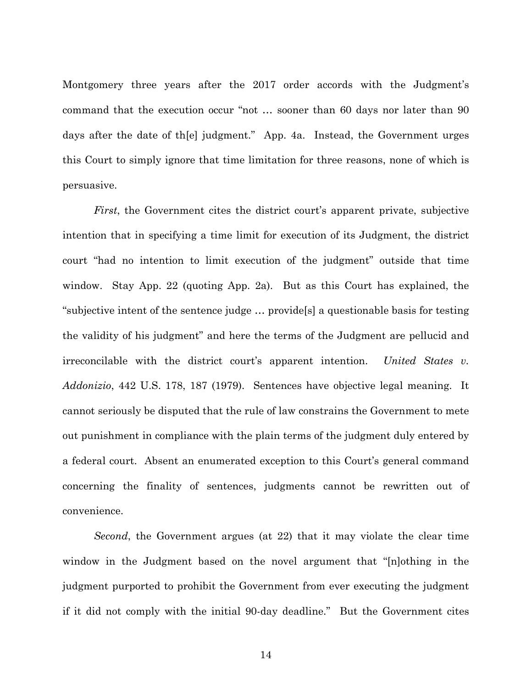Montgomery three years after the 2017 order accords with the Judgment's command that the execution occur "not … sooner than 60 days nor later than 90 days after the date of th[e] judgment." App. 4a. Instead, the Government urges this Court to simply ignore that time limitation for three reasons, none of which is persuasive.

*First*, the Government cites the district court's apparent private, subjective intention that in specifying a time limit for execution of its Judgment, the district court "had no intention to limit execution of the judgment" outside that time window. Stay App. 22 (quoting App. 2a). But as this Court has explained, the "subjective intent of the sentence judge … provide[s] a questionable basis for testing the validity of his judgment" and here the terms of the Judgment are pellucid and irreconcilable with the district court's apparent intention. *United States v. Addonizio*, 442 U.S. 178, 187 (1979). Sentences have objective legal meaning. It cannot seriously be disputed that the rule of law constrains the Government to mete out punishment in compliance with the plain terms of the judgment duly entered by a federal court. Absent an enumerated exception to this Court's general command concerning the finality of sentences, judgments cannot be rewritten out of convenience.

*Second*, the Government argues (at 22) that it may violate the clear time window in the Judgment based on the novel argument that "[n]othing in the judgment purported to prohibit the Government from ever executing the judgment if it did not comply with the initial 90-day deadline." But the Government cites

14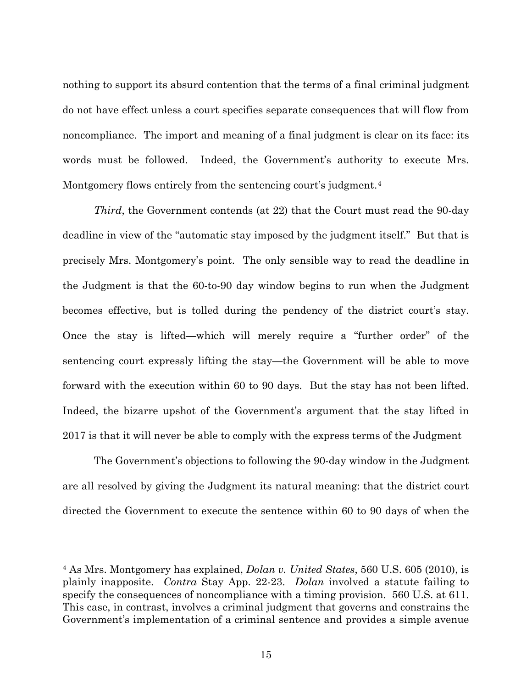nothing to support its absurd contention that the terms of a final criminal judgment do not have effect unless a court specifies separate consequences that will flow from noncompliance. The import and meaning of a final judgment is clear on its face: its words must be followed. Indeed, the Government's authority to execute Mrs. Montgomery flows entirely from the sentencing court's judgment.<sup>[4](#page-14-0)</sup>

*Third*, the Government contends (at 22) that the Court must read the 90-day deadline in view of the "automatic stay imposed by the judgment itself." But that is precisely Mrs. Montgomery's point. The only sensible way to read the deadline in the Judgment is that the 60-to-90 day window begins to run when the Judgment becomes effective, but is tolled during the pendency of the district court's stay. Once the stay is lifted—which will merely require a "further order" of the sentencing court expressly lifting the stay—the Government will be able to move forward with the execution within 60 to 90 days. But the stay has not been lifted. Indeed, the bizarre upshot of the Government's argument that the stay lifted in 2017 is that it will never be able to comply with the express terms of the Judgment

 The Government's objections to following the 90-day window in the Judgment are all resolved by giving the Judgment its natural meaning: that the district court directed the Government to execute the sentence within 60 to 90 days of when the

<span id="page-14-0"></span><sup>4</sup> As Mrs. Montgomery has explained, *Dolan v. United States*, 560 U.S. 605 (2010), is plainly inapposite. *Contra* Stay App. 22-23. *Dolan* involved a statute failing to specify the consequences of noncompliance with a timing provision. 560 U.S. at 611. This case, in contrast, involves a criminal judgment that governs and constrains the Government's implementation of a criminal sentence and provides a simple avenue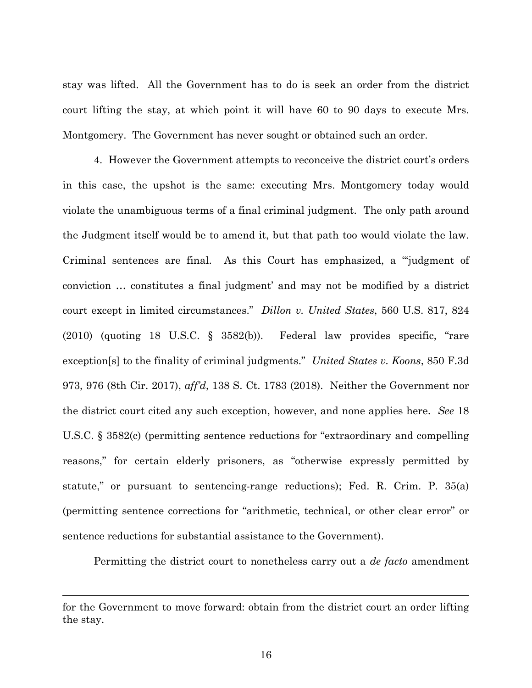stay was lifted. All the Government has to do is seek an order from the district court lifting the stay, at which point it will have 60 to 90 days to execute Mrs. Montgomery. The Government has never sought or obtained such an order.

 4. However the Government attempts to reconceive the district court's orders in this case, the upshot is the same: executing Mrs. Montgomery today would violate the unambiguous terms of a final criminal judgment. The only path around the Judgment itself would be to amend it, but that path too would violate the law. Criminal sentences are final. As this Court has emphasized, a "'judgment of conviction … constitutes a final judgment' and may not be modified by a district court except in limited circumstances." *Dillon v. United States*, 560 U.S. 817, 824 (2010) (quoting 18 U.S.C. § 3582(b)). Federal law provides specific, "rare exception[s] to the finality of criminal judgments." *United States v. Koons*, 850 F.3d 973, 976 (8th Cir. 2017), *aff'd*, 138 S. Ct. 1783 (2018). Neither the Government nor the district court cited any such exception, however, and none applies here. *See* 18 U.S.C. § 3582(c) (permitting sentence reductions for "extraordinary and compelling reasons," for certain elderly prisoners, as "otherwise expressly permitted by statute," or pursuant to sentencing-range reductions); Fed. R. Crim. P. 35(a) (permitting sentence corrections for "arithmetic, technical, or other clear error" or sentence reductions for substantial assistance to the Government).

Permitting the district court to nonetheless carry out a *de facto* amendment

for the Government to move forward: obtain from the district court an order lifting the stay.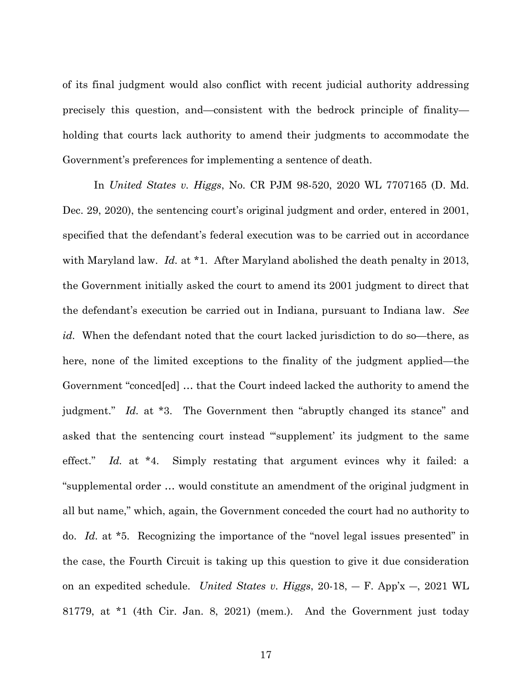of its final judgment would also conflict with recent judicial authority addressing precisely this question, and—consistent with the bedrock principle of finality holding that courts lack authority to amend their judgments to accommodate the Government's preferences for implementing a sentence of death.

In *United States v. Higgs*, No. CR PJM 98-520, 2020 WL 7707165 (D. Md. Dec. 29, 2020), the sentencing court's original judgment and order, entered in 2001, specified that the defendant's federal execution was to be carried out in accordance with Maryland law. *Id.* at \*1. After Maryland abolished the death penalty in 2013, the Government initially asked the court to amend its 2001 judgment to direct that the defendant's execution be carried out in Indiana, pursuant to Indiana law. *See id.* When the defendant noted that the court lacked jurisdiction to do so—there, as here, none of the limited exceptions to the finality of the judgment applied—the Government "conced[ed] … that the Court indeed lacked the authority to amend the judgment." *Id.* at \*3. The Government then "abruptly changed its stance" and asked that the sentencing court instead "'supplement' its judgment to the same effect." *Id.* at \*4. Simply restating that argument evinces why it failed: a "supplemental order … would constitute an amendment of the original judgment in all but name," which, again, the Government conceded the court had no authority to do. *Id.* at \*5. Recognizing the importance of the "novel legal issues presented" in the case, the Fourth Circuit is taking up this question to give it due consideration on an expedited schedule. *United States v. Higgs*, 20-18, ― F. App'x ―, 2021 WL 81779, at \*1 (4th Cir. Jan. 8, 2021) (mem.). And the Government just today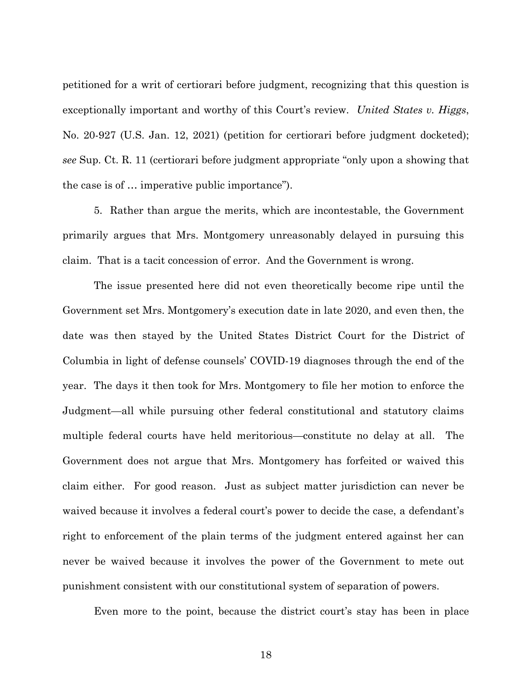petitioned for a writ of certiorari before judgment, recognizing that this question is exceptionally important and worthy of this Court's review. *United States v. Higgs*, No. 20-927 (U.S. Jan. 12, 2021) (petition for certiorari before judgment docketed); *see* Sup. Ct. R. 11 (certiorari before judgment appropriate "only upon a showing that the case is of … imperative public importance").

5. Rather than argue the merits, which are incontestable, the Government primarily argues that Mrs. Montgomery unreasonably delayed in pursuing this claim. That is a tacit concession of error. And the Government is wrong.

The issue presented here did not even theoretically become ripe until the Government set Mrs. Montgomery's execution date in late 2020, and even then, the date was then stayed by the United States District Court for the District of Columbia in light of defense counsels' COVID-19 diagnoses through the end of the year. The days it then took for Mrs. Montgomery to file her motion to enforce the Judgment—all while pursuing other federal constitutional and statutory claims multiple federal courts have held meritorious—constitute no delay at all. The Government does not argue that Mrs. Montgomery has forfeited or waived this claim either. For good reason. Just as subject matter jurisdiction can never be waived because it involves a federal court's power to decide the case, a defendant's right to enforcement of the plain terms of the judgment entered against her can never be waived because it involves the power of the Government to mete out punishment consistent with our constitutional system of separation of powers.

Even more to the point, because the district court's stay has been in place

18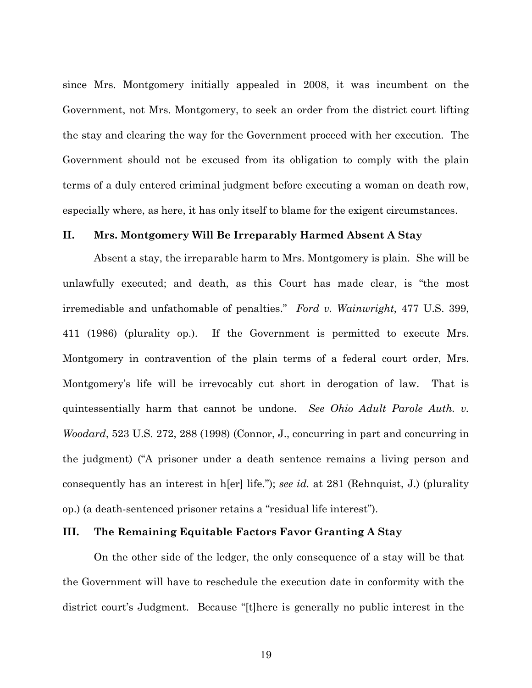since Mrs. Montgomery initially appealed in 2008, it was incumbent on the Government, not Mrs. Montgomery, to seek an order from the district court lifting the stay and clearing the way for the Government proceed with her execution. The Government should not be excused from its obligation to comply with the plain terms of a duly entered criminal judgment before executing a woman on death row, especially where, as here, it has only itself to blame for the exigent circumstances.

### **II. Mrs. Montgomery Will Be Irreparably Harmed Absent A Stay**

Absent a stay, the irreparable harm to Mrs. Montgomery is plain. She will be unlawfully executed; and death, as this Court has made clear, is "the most irremediable and unfathomable of penalties." *Ford v. Wainwright*, 477 U.S. 399, 411 (1986) (plurality op.). If the Government is permitted to execute Mrs. Montgomery in contravention of the plain terms of a federal court order, Mrs. Montgomery's life will be irrevocably cut short in derogation of law. That is quintessentially harm that cannot be undone. *See Ohio Adult Parole Auth. v. Woodard*, 523 U.S. 272, 288 (1998) (Connor, J., concurring in part and concurring in the judgment) ("A prisoner under a death sentence remains a living person and consequently has an interest in h[er] life."); *see id.* at 281 (Rehnquist, J.) (plurality op.) (a death-sentenced prisoner retains a "residual life interest").

## **III. The Remaining Equitable Factors Favor Granting A Stay**

On the other side of the ledger, the only consequence of a stay will be that the Government will have to reschedule the execution date in conformity with the district court's Judgment. Because "[t]here is generally no public interest in the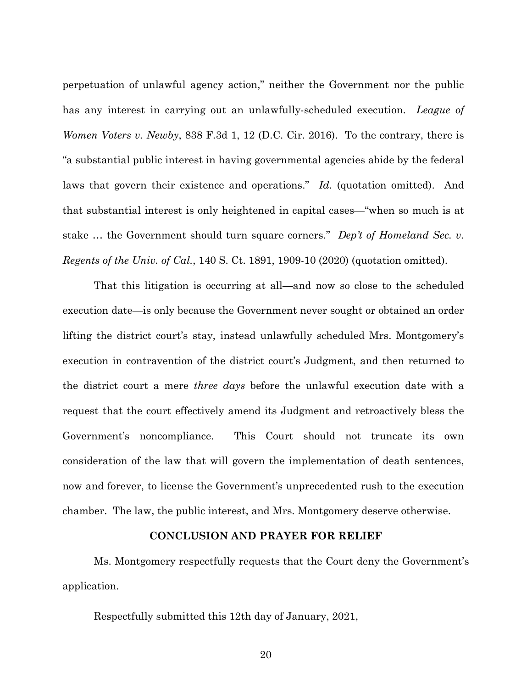perpetuation of unlawful agency action," neither the Government nor the public has any interest in carrying out an unlawfully-scheduled execution. *League of Women Voters v. Newby*, 838 F.3d 1, 12 (D.C. Cir. 2016). To the contrary, there is "a substantial public interest in having governmental agencies abide by the federal laws that govern their existence and operations." *Id.* (quotation omitted). And that substantial interest is only heightened in capital cases—"when so much is at stake … the Government should turn square corners." *Dep't of Homeland Sec. v. Regents of the Univ. of Cal.*, 140 S. Ct. 1891, 1909-10 (2020) (quotation omitted).

That this litigation is occurring at all—and now so close to the scheduled execution date—is only because the Government never sought or obtained an order lifting the district court's stay, instead unlawfully scheduled Mrs. Montgomery's execution in contravention of the district court's Judgment, and then returned to the district court a mere *three days* before the unlawful execution date with a request that the court effectively amend its Judgment and retroactively bless the Government's noncompliance. This Court should not truncate its own consideration of the law that will govern the implementation of death sentences, now and forever, to license the Government's unprecedented rush to the execution chamber. The law, the public interest, and Mrs. Montgomery deserve otherwise.

## **CONCLUSION AND PRAYER FOR RELIEF**

Ms. Montgomery respectfully requests that the Court deny the Government's application.

Respectfully submitted this 12th day of January, 2021,

20